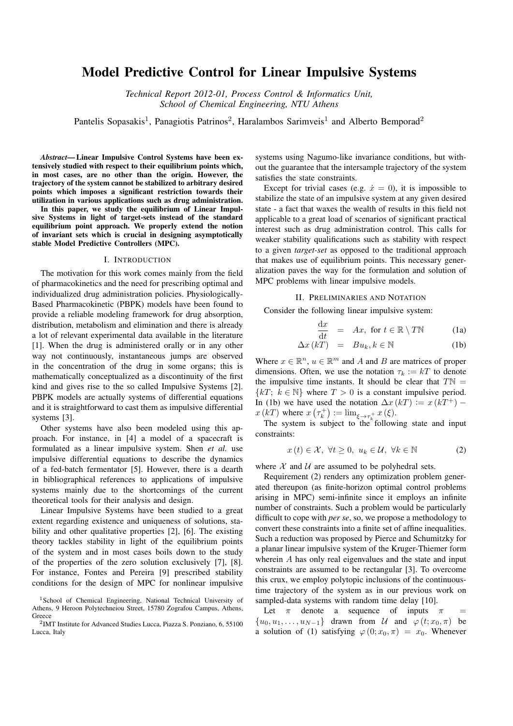# Model Predictive Control for Linear Impulsive Systems

*Technical Report 2012-01, Process Control & Informatics Unit, School of Chemical Engineering, NTU Athens*

Pantelis Sopasakis<sup>1</sup>, Panagiotis Patrinos<sup>2</sup>, Haralambos Sarimveis<sup>1</sup> and Alberto Bemporad<sup>2</sup>

*Abstract*— Linear Impulsive Control Systems have been extensively studied with respect to their equilibrium points which, in most cases, are no other than the origin. However, the trajectory of the system cannot be stabilized to arbitrary desired points which imposes a significant restriction towards their utilization in various applications such as drug administration.

In this paper, we study the equilibrium of Linear Impulsive Systems in light of target-sets instead of the standard equilibrium point approach. We properly extend the notion of invariant sets which is crucial in designing asymptotically stable Model Predictive Controllers (MPC).

## I. INTRODUCTION

The motivation for this work comes mainly from the field of pharmacokinetics and the need for prescribing optimal and individualized drug administration policies. Physiologically-Based Pharmacokinetic (PBPK) models have been found to provide a reliable modeling framework for drug absorption, distribution, metabolism and elimination and there is already a lot of relevant experimental data available in the literature [1]. When the drug is administered orally or in any other way not continuously, instantaneous jumps are observed in the concentration of the drug in some organs; this is mathematically conceptualized as a discontinuity of the first kind and gives rise to the so called Impulsive Systems [2]. PBPK models are actually systems of differential equations and it is straightforward to cast them as impulsive differential systems [3].

Other systems have also been modeled using this approach. For instance, in [4] a model of a spacecraft is formulated as a linear impulsive system. Shen *et al.* use impulsive differential equations to describe the dynamics of a fed-batch fermentator [5]. However, there is a dearth in bibliographical references to applications of impulsive systems mainly due to the shortcomings of the current theoretical tools for their analysis and design.

Linear Impulsive Systems have been studied to a great extent regarding existence and uniqueness of solutions, stability and other qualitative properties [2], [6]. The existing theory tackles stability in light of the equilibrium points of the system and in most cases boils down to the study of the properties of the zero solution exclusively [7], [8]. For instance, Fontes and Pereira [9] prescribed stability conditions for the design of MPC for nonlinear impulsive

systems using Nagumo-like invariance conditions, but without the guarantee that the intersample trajectory of the system satisfies the state constraints.

Except for trivial cases (e.g.  $\dot{x} = 0$ ), it is impossible to stabilize the state of an impulsive system at any given desired state - a fact that waxes the wealth of results in this field not applicable to a great load of scenarios of significant practical interest such as drug administration control. This calls for weaker stability qualifications such as stability with respect to a given *target-set* as opposed to the traditional approach that makes use of equilibrium points. This necessary generalization paves the way for the formulation and solution of MPC problems with linear impulsive models.

## II. PRELIMINARIES AND NOTATION

Consider the following linear impulsive system:

$$
\frac{\mathrm{d}x}{\mathrm{d}t} = Ax, \text{ for } t \in \mathbb{R} \setminus T\mathbb{N} \tag{1a}
$$

$$
\Delta x (kT) = Bu_k, k \in \mathbb{N}
$$
 (1b)

Where  $x \in \mathbb{R}^n$ ,  $u \in \mathbb{R}^m$  and A and B are matrices of proper dimensions. Often, we use the notation  $\tau_k := kT$  to denote the impulsive time instants. It should be clear that  $T\mathbb{N} =$  ${kT: k \in \mathbb{N}}$  where  $T > 0$  is a constant impulsive period. In (1b) we have used the notation  $\Delta x (kT) := x (kT^+)$  $x(k)$  where  $x(\tau_k^+) := \lim_{\xi \to \tau_k^+} x(\xi)$ .

The system is subject to the following state and input constraints:

$$
x(t) \in \mathcal{X}, \ \forall t \ge 0, \ u_k \in \mathcal{U}, \ \forall k \in \mathbb{N} \tag{2}
$$

where  $X$  and  $U$  are assumed to be polyhedral sets.

Requirement (2) renders any optimization problem generated thereupon (as finite-horizon optimal control problems arising in MPC) semi-infinite since it employs an infinite number of constraints. Such a problem would be particularly difficult to cope with *per se*, so, we propose a methodology to convert these constraints into a finite set of affine inequalities. Such a reduction was proposed by Pierce and Schumitzky for a planar linear impulsive system of the Kruger-Thiemer form wherein A has only real eigenvalues and the state and input constraints are assumed to be rectangular [3]. To overcome this crux, we employ polytopic inclusions of the continuoustime trajectory of the system as in our previous work on sampled-data systems with random time delay [10].

Let  $\pi$  denote a sequence of inputs  $\pi$  =  $\{u_0, u_1, \ldots, u_{N-1}\}\$  drawn from U and  $\varphi(t; x_0, \pi)$  be a solution of (1) satisfying  $\varphi(0; x_0, \pi) = x_0$ . Whenever

<sup>&</sup>lt;sup>1</sup>School of Chemical Engineering, National Technical University of Athens, 9 Heroon Polytechneiou Street, 15780 Zografou Campus, Athens, **Greece** 

<sup>2</sup> IMT Institute for Advanced Studies Lucca, Piazza S. Ponziano, 6, 55100 Lucca, Italy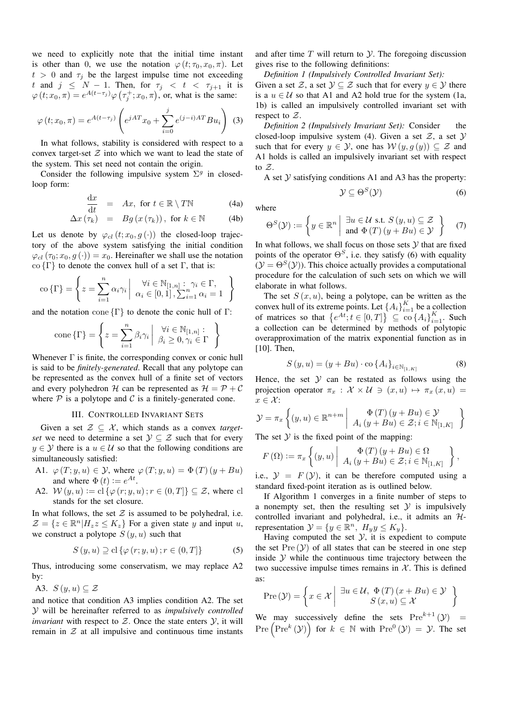we need to explicitly note that the initial time instant is other than 0, we use the notation  $\varphi(t; \tau_0, x_0, \pi)$ . Let  $t > 0$  and  $\tau_i$  be the largest impulse time not exceeding t and  $j \leq N - 1$ . Then, for  $\tau_j < t < \tau_{j+1}$  it is  $\varphi(t; x_0, \pi) = e^{A(t-\tau_j)} \varphi(\tau_j^+; x_0, \pi)$ , or, what is the same:

$$
\varphi(t; x_0, \pi) = e^{A(t - \tau_j)} \left( e^{jAT} x_0 + \sum_{i=0}^j e^{(j-i)AT} B u_i \right)
$$
 (3)

In what follows, stability is considered with respect to a convex target-set  $Z$  into which we want to lead the state of the system. This set need not contain the origin.

Consider the following impulsive system  $\Sigma^g$  in closedloop form:

$$
\frac{\mathrm{d}x}{\mathrm{d}t} = Ax, \text{ for } t \in \mathbb{R} \setminus T\mathbb{N} \tag{4a}
$$

$$
\Delta x \, (\tau_k) = Bg \, (x \, (\tau_k)), \text{ for } k \in \mathbb{N} \tag{4b}
$$

Let us denote by  $\varphi_{cl}(t; x_0, g(\cdot))$  the closed-loop trajectory of the above system satisfying the initial condition  $\varphi_{cl}(\tau_0; x_0, g(\cdot)) = x_0$ . Hereinafter we shall use the notation co  $\{\Gamma\}$  to denote the convex hull of a set Γ, that is:

$$
\text{co }\{\Gamma\} = \left\{ z = \sum_{i=1}^{n} \alpha_i \gamma_i \middle| \begin{array}{c} \forall i \in \mathbb{N}_{[1,n]} : \gamma_i \in \Gamma, \\ \alpha_i \in [0,1], \sum_{i=1}^{n} \alpha_i = 1 \end{array} \right\}
$$

and the notation cone  $\{\Gamma\}$  to denote the conic hull of  $\Gamma$ :

cone 
$$
\{\Gamma\} = \left\{ z = \sum_{i=1}^{n} \beta_i \gamma_i \middle| \begin{array}{l} \forall i \in \mathbb{N}_{[1,n]} : \\ \beta_i \geq 0, \gamma_i \in \Gamma \end{array} \right\}
$$

Whenever  $\Gamma$  is finite, the corresponding convex or conic hull is said to be *finitely-generated*. Recall that any polytope can be represented as the convex hull of a finite set of vectors and every polyhedron H can be represented as  $H = \mathcal{P} + \mathcal{C}$ where  $P$  is a polytope and  $C$  is a finitely-generated cone.

## III. CONTROLLED INVARIANT SETS

Given a set  $\mathcal{Z} \subseteq \mathcal{X}$ , which stands as a convex *targetset* we need to determine a set  $\mathcal{Y} \subseteq \mathcal{Z}$  such that for every  $y \in Y$  there is a  $u \in U$  so that the following conditions are simultaneously satisfied:

- A1.  $\varphi(T; y, u) \in \mathcal{Y}$ , where  $\varphi(T; y, u) = \Phi(T) (y + Bu)$ and where  $\Phi(t) := e^{At}$ .
- A2.  $W(y, u) := cl \{\varphi(r; y, u) ; r \in (0, T] \} \subseteq \mathcal{Z}$ , where cl stands for the set closure.

In what follows, the set  $\mathcal Z$  is assumed to be polyhedral, i.e.  $\mathcal{Z} = \{z \in \mathbb{R}^n | H_z z \le K_z \}$  For a given state y and input u, we construct a polytope  $S(y, u)$  such that

$$
S(y, u) \supseteq \text{cl}\left\{\varphi\left(r; y, u\right); r \in (0, T]\right\} \tag{5}
$$

Thus, introducing some conservatism, we may replace A2 by:

A3. 
$$
S(y, u) \subseteq \mathcal{Z}
$$

and notice that condition A3 implies condition A2. The set Y will be hereinafter referred to as *impulsively controlled invariant* with respect to  $Z$ . Once the state enters  $Y$ , it will remain in  $Z$  at all impulsive and continuous time instants

and after time  $T$  will return to  $\mathcal Y$ . The foregoing discussion gives rise to the following definitions:

*Definition 1 (Impulsively Controlled Invariant Set):* Given a set Z, a set  $\mathcal{Y} \subseteq \mathcal{Z}$  such that for every  $y \in \mathcal{Y}$  there is a  $u \in \mathcal{U}$  so that A1 and A2 hold true for the system (1a, 1b) is called an impulsively controlled invariant set with respect to  $\mathcal{Z}$ .

*Definition 2 (Impulsively Invariant Set):* Consider the closed-loop impulsive system (4). Given a set  $\mathcal{Z}$ , a set  $\mathcal{Y}$ such that for every  $y \in \mathcal{Y}$ , one has  $\mathcal{W}(y, g(y)) \subseteq \mathcal{Z}$  and A1 holds is called an impulsively invariant set with respect to  $\mathcal{Z}$ .

A set  $Y$  satisfying conditions A1 and A3 has the property:

$$
\mathcal{Y} \subseteq \Theta^S(\mathcal{Y})
$$
 (6)

where

$$
\Theta^{S}(\mathcal{Y}) := \left\{ y \in \mathbb{R}^{n} \middle| \begin{array}{c} \exists u \in \mathcal{U} \text{ s.t. } S(y, u) \subseteq \mathcal{Z} \\ \text{and } \Phi(T) \left( y + Bu \right) \in \mathcal{Y} \end{array} \right\}
$$
(7)

In what follows, we shall focus on those sets  $Y$  that are fixed points of the operator  $\Theta^S$ , i.e. they satisfy (6) with equality  $(Y = \Theta^{S}(Y))$ . This choice actually provides a computational procedure for the calculation of such sets on which we will elaborate in what follows.

The set  $S(x, u)$ , being a polytope, can be written as the convex hull of its extreme points. Let  $\{A_i\}_{i=1}^K$  be a collection of matrices so that  $\{e^{At}; t \in [0,T]\} \subseteq \text{co} \{A_i\}_{i=1}^K$ . Such a collection can be determined by methods of polytopic overapproximation of the matrix exponential function as in [10]. Then,

$$
S(y, u) = (y + Bu) \cdot \text{co} \{A_i\}_{i \in \mathbb{N}_{[1, K]}}
$$
(8)

Hence, the set  $Y$  can be restated as follows using the projection operator  $\pi_x : \mathcal{X} \times \mathcal{U} \ni (x, u) \mapsto \pi_x (x, u) =$  $x \in \mathcal{X}$ :

$$
\mathcal{Y} = \pi_x \left\{ (y, u) \in \mathbb{R}^{n+m} \middle| \begin{array}{c} \Phi(T) \left( y + Bu \right) \in \mathcal{Y} \\ A_i \left( y + Bu \right) \in \mathcal{Z}; i \in \mathbb{N}_{[1, K]} \end{array} \right\}
$$

The set  $Y$  is the fixed point of the mapping:

$$
F(\Omega) := \pi_x \left\{ (y, u) \middle| \begin{array}{c} \Phi(T) (y + Bu) \in \Omega \\ A_i (y + Bu) \in \mathcal{Z}; i \in \mathbb{N}_{[1, K]} \end{array} \right\},\
$$

i.e.,  $\mathcal{Y} = F(\mathcal{Y})$ , it can be therefore computed using a standard fixed-point iteration as is outlined below.

If Algorithm 1 converges in a finite number of steps to a nonempty set, then the resulting set  $\mathcal Y$  is impulsively controlled invariant and polyhedral, i.e., it admits an  $H$ representation  $\mathcal{Y} = \{y \in \mathbb{R}^n, H_y y \le K_y\}.$ 

Having computed the set  $\mathcal{Y}$ , it is expedient to compute the set  $Pre(y)$  of all states that can be steered in one step inside  $Y$  while the continuous time trajectory between the two successive impulse times remains in  $X$ . This is defined as:

$$
Pre(\mathcal{Y}) = \left\{ x \in \mathcal{X} \mid \exists u \in \mathcal{U}, \ \Phi(T) \ (x + Bu) \in \mathcal{Y} \right\}
$$

$$
S(x, u) \subseteq \mathcal{X}
$$

We may successively define the sets  $Pre^{k+1}(\mathcal{Y})$  =  $Pre \left( Pre^k (\mathcal{Y}) \right)$  for  $k \in \mathbb{N}$  with  $Pre^0 (\mathcal{Y}) = \mathcal{Y}$ . The set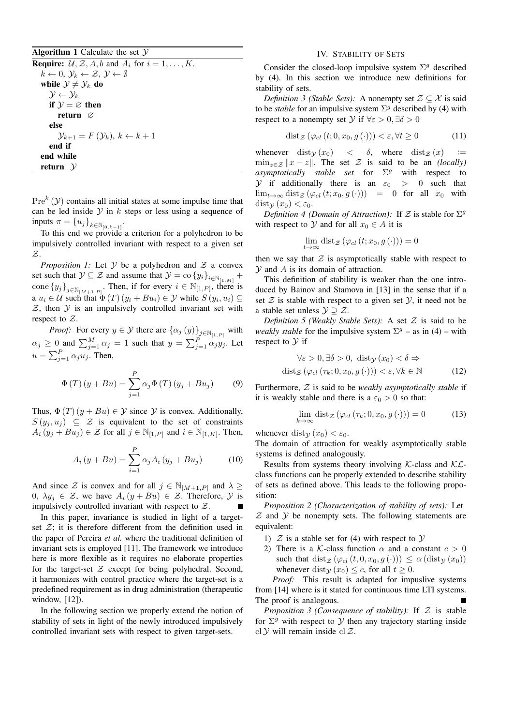Algorithm 1 Calculate the set  $\mathcal Y$ 

**Require:**  $\mathcal{U}, \mathcal{Z}, A, b$  and  $A_i$  for  $i = 1, \ldots, K$ .  $k \leftarrow 0, \, \mathcal{Y}_k \leftarrow \mathcal{Z}, \, \mathcal{Y} \leftarrow \emptyset$ while  $\mathcal{Y} \neq \mathcal{Y}_k$  do  $\mathcal{Y} \leftarrow \mathcal{Y}_k$ if  $\mathcal{Y} = \emptyset$  then return ∅ else  $\mathcal{Y}_{k+1} = F(\mathcal{Y}_k), k \leftarrow k+1$ end if end while return  $\mathcal Y$ 

 $Pre^{k}(\mathcal{Y})$  contains all initial states at some impulse time that can be led inside  $Y$  in k steps or less using a sequence of inputs  $\pi = \{u_j\}_{k \in \mathbb{N}_{[0,k-1]}}$ .

To this end we provide a criterion for a polyhedron to be impulsively controlled invariant with respect to a given set Z.

*Proposition 1:* Let  $Y$  be a polyhedron and  $Z$  a convex set such that  $\mathcal{Y} \subseteq \mathcal{Z}$  and assume that  $\mathcal{Y} = \text{co} \{y_i\}_{i \in \mathbb{N}_{[1,M]}} + \mathcal{Z}$ cone  $\{y_j\}_{j\in\mathbb{N}_{[M+1,P]}}$ . Then, if for every  $i\in\mathbb{N}_{[1,P]}$ , there is a  $u_i \in \mathcal{U}$  such that  $\Phi(T)(y_i + Bu_i) \in \mathcal{Y}$  while  $S(y_i, u_i) \subseteq$  $Z$ , then  $Y$  is an impulsively controlled invariant set with respect to  $\mathcal{Z}$ .

*Proof:* For every  $y \in \mathcal{Y}$  there are  $\{\alpha_j(y)\}_{j \in \mathbb{N}_{[1,P]}}$  with  $\alpha_j \geq 0$  and  $\sum_{j=1}^M \alpha_j = 1$  such that  $y = \sum_{j=1}^P \alpha_j y_j$ . Let  $u = \sum_{j=1}^{P} \alpha_j u_j$ . Then,

$$
\Phi(T)(y + Bu) = \sum_{j=1}^{P} \alpha_j \Phi(T)(y_j + Bu_j)
$$
 (9)

Thus,  $\Phi(T)(y + Bu) \in \mathcal{Y}$  since  $\mathcal{Y}$  is convex. Additionally,  $S(y_j, u_j) \subseteq \mathcal{Z}$  is equivalent to the set of constraints  $A_i(y_j + Bu_j) \in \mathcal{Z}$  for all  $j \in \mathbb{N}_{[1,P]}$  and  $i \in \mathbb{N}_{[1,K]}$ . Then,

$$
A_i(y + Bu) = \sum_{i=1}^{P} \alpha_j A_i (y_j + Bu_j)
$$
 (10)

And since Z is convex and for all  $j \in \mathbb{N}_{[M+1,P]}$  and  $\lambda \geq$ 0,  $\lambda y_i \in \mathcal{Z}$ , we have  $A_i(y + Bu) \in \mathcal{Z}$ . Therefore,  $\mathcal{Y}$  is impulsively controlled invariant with respect to Z.

In this paper, invariance is studied in light of a targetset  $\mathcal{Z}$ ; it is therefore different from the definition used in the paper of Pereira *et al.* where the traditional definition of invariant sets is employed [11]. The framework we introduce here is more flexible as it requires no elaborate properties for the target-set  $Z$  except for being polyhedral. Second, it harmonizes with control practice where the target-set is a predefined requirement as in drug administration (therapeutic window, [12]).

In the following section we properly extend the notion of stability of sets in light of the newly introduced impulsively controlled invariant sets with respect to given target-sets.

## IV. STABILITY OF SETS

Consider the closed-loop impulsive system  $\Sigma^g$  described by (4). In this section we introduce new definitions for stability of sets.

*Definition 3 (Stable Sets):* A nonempty set  $\mathcal{Z} \subseteq \mathcal{X}$  is said to be *stable* for an impulsive system  $\Sigma^g$  described by (4) with respect to a nonempty set  $\mathcal Y$  if  $\forall \varepsilon > 0, \exists \delta > 0$ 

$$
\text{dist}_{\mathcal{Z}}\left(\varphi_{cl}\left(t;0,x_0,g\left(\cdot\right)\right)\right) < \varepsilon, \forall t \ge 0 \tag{11}
$$

whenever  $dist_{\mathcal{Y}}(x_0)$  <  $\delta$ , where  $dist_{\mathcal{Z}}(x)$  :=  $\min_{z \in \mathcal{Z}} ||x - z||$ . The set  $\mathcal Z$  is said to be an *(locally) asymptotically stable set* for Σ <sup>g</sup> with respect to  $Y$  if additionally there is an  $\varepsilon_0 > 0$  such that  $\lim_{t\to\infty} dist_{\mathcal{Z}}(\varphi_{cl}(t;x_0,g(\cdot))) = 0$  for all  $x_0$  with  $dist_{\mathcal{Y}}(x_0) < \varepsilon_0$ .

*Definition 4 (Domain of Attraction):* If  $\mathcal Z$  is stable for  $\Sigma^g$ with respect to Y and for all  $x_0 \in A$  it is

$$
\lim_{t \to \infty} \operatorname{dist}_{\mathcal{Z}} (\varphi_{cl}(t; x_0, g(\cdot))) = 0
$$

then we say that  $Z$  is asymptotically stable with respect to  $Y$  and  $A$  is its domain of attraction.

This definition of stability is weaker than the one introduced by Bainov and Stamova in [13] in the sense that if a set  $Z$  is stable with respect to a given set  $Y$ , it need not be a stable set unless  $\mathcal{Y} \supseteq \mathcal{Z}$ .

*Definition 5 (Weakly Stable Sets):* A set Z is said to be *weakly stable* for the impulsive system  $\Sigma^g$  – as in (4) – with respect to  $Y$  if

$$
\forall \varepsilon > 0, \exists \delta > 0, \text{ dist}_{\mathcal{Y}}(x_0) < \delta \Rightarrow
$$
  
dist<sub>Z</sub>  $(\varphi_{cl}(\tau_k; 0, x_0, g(\cdot))) < \varepsilon, \forall k \in \mathbb{N}$  (12)

Furthermore, Z is said to be *weakly asymptotically stable* if it is weakly stable and there is a  $\varepsilon_0 > 0$  so that:

$$
\lim_{k \to \infty} \text{dist}_{\mathcal{Z}}\left(\varphi_{cl}\left(\tau_k; 0, x_0, g\left(\cdot\right)\right)\right) = 0 \tag{13}
$$

whenever dist $y(x_0) < \varepsilon_0$ .

The domain of attraction for weakly asymptotically stable systems is defined analogously.

Results from systems theory involving  $K$ -class and  $K\mathcal{L}$ class functions can be properly extended to describe stability of sets as defined above. This leads to the following proposition:

*Proposition 2 (Characterization of stability of sets):* Let  $Z$  and  $Y$  be nonempty sets. The following statements are equivalent:

- 1)  $\mathcal Z$  is a stable set for (4) with respect to  $\mathcal Y$
- 2) There is a K-class function  $\alpha$  and a constant  $c > 0$ such that  $dist_{\mathcal{Z}}(\varphi_{cl}(t, 0, x_0, g(\cdot))) \leq \alpha$  (dist $y(x_0)$ ) whenever dist<sub>y</sub>  $(x_0) \leq c$ , for all  $t \geq 0$ .

*Proof:* This result is adapted for impuslive systems from [14] where is it stated for continuous time LTI systems. The proof is analogous.

*Proposition 3 (Consequence of stability):* If  $Z$  is stable for  $\Sigma^g$  with respect to  $\mathcal Y$  then any trajectory starting inside cl  $Y$  will remain inside cl  $Z$ .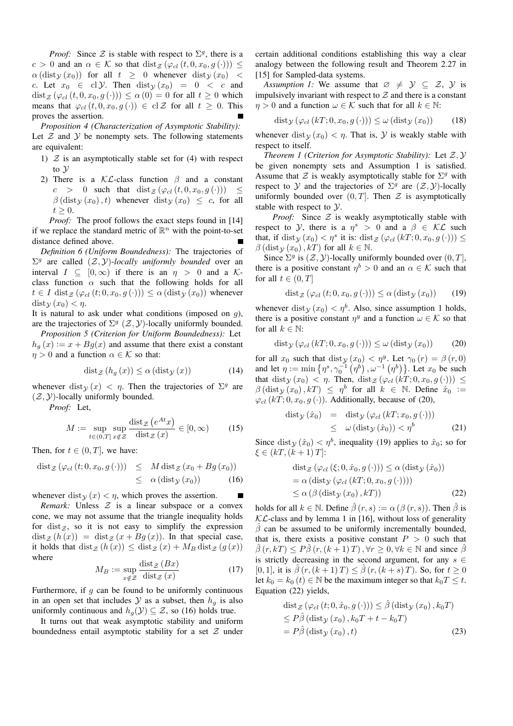*Proof:* Since  $\mathcal Z$  is stable with respect to  $\Sigma^g$ , there is a  $c > 0$  and an  $\alpha \in \mathcal{K}$  so that  $dist_{\mathcal{Z}}(\varphi_{cl}(t, 0, x_0, g(\cdot))) \leq$  $\alpha$  (dist<sub>y</sub> (x<sub>0</sub>)) for all  $t \geq 0$  whenever dist<sub>y</sub> (x<sub>0</sub>) < c. Let  $x_0 \in \text{cl } \mathcal{Y}$ . Then  $\text{dist}_{\mathcal{Y}}(x_0) = 0 < c$  and  $dist_{\mathcal{Z}}(\varphi_{cl}(t, 0, x_0, g(\cdot))) \leq \alpha(0) = 0$  for all  $t \geq 0$  which means that  $\varphi_{cl}(t, 0, x_0, g(\cdot)) \in cl \mathcal{Z}$  for all  $t \geq 0$ . This proves the assertion.

*Proposition 4 (Characterization of Asymptotic Stability):* Let  $Z$  and  $Y$  be nonempty sets. The following statements are equivalent:

- 1)  $Z$  is an asymptotically stable set for (4) with respect to  $\mathcal Y$
- 2) There is a  $\mathcal{KL}$ -class function  $\beta$  and a constant  $c > 0$  such that  $dist_{\mathcal{Z}}(\varphi_{cl}(t, 0, x_0, g(\cdot))) \leq$  $\beta$  (dist<sub>y</sub> (x<sub>0</sub>), t) whenever dist<sub>y</sub> (x<sub>0</sub>)  $\leq c$ , for all  $t \geq 0$ .

*Proof:* The proof follows the exact steps found in [14] if we replace the standard metric of  $\mathbb{R}^n$  with the point-to-set distance defined above.

*Definition 6 (Uniform Boundedness):* The trajectories of  $\Sigma^g$  are called  $(\mathcal{Z}, \mathcal{Y})$ -locally uniformly bounded over an interval  $I \subseteq [0,\infty)$  if there is an  $\eta > 0$  and a Kclass function  $\alpha$  such that the following holds for all  $t \in I$  dist  $\chi(\varphi_{cl}(t; 0, x_0, g(\cdot))) \leq \alpha$  (dist  $\chi(x_0)$ ) whenever  $dist_{\mathcal{V}}(x_0) < \eta.$ 

It is natural to ask under what conditions (imposed on  $q$ ), are the trajectories of  $\Sigma^g$  ( $\mathcal{Z}, \mathcal{Y}$ )-locally uniformly bounded.

*Proposition 5 (Criterion for Uniform Boundedness):* Let  $h<sub>a</sub>(x) := x + Bg(x)$  and assume that there exist a constant  $\eta > 0$  and a function  $\alpha \in \mathcal{K}$  so that:

$$
\text{dist}_{\mathcal{Z}}\left(h_g\left(x\right)\right) \leq \alpha\left(\text{dist}_{\mathcal{Y}}\left(x\right)\right) \tag{14}
$$

Atx

whenever dist $y(x) < \eta$ . Then the trajectories of  $\Sigma^g$  are  $(\mathcal{Z}, \mathcal{Y})$ -locally uniformly bounded.

*Proof:* Let,

$$
M := \sup_{t \in (0,T]} \sup_{x \notin \mathcal{Z}} \frac{\text{dist}_{\mathcal{Z}}\left(e^{At}x\right)}{\text{dist}_{\mathcal{Z}}\left(x\right)} \in [0,\infty) \tag{15}
$$

Then, for  $t \in (0, T]$ , we have:

$$
dist_{\mathcal{Z}}(\varphi_{cl}(t; 0, x_0, g(\cdot))) \leq M dist_{\mathcal{Z}}(x_0 + Bg(x_0))
$$
  

$$
\leq \alpha (dist_{\mathcal{Y}}(x_0)) \qquad (16)
$$

whenever dist $y(x) < \eta$ , which proves the assertion. П

*Remark:* Unless  $Z$  is a linear subspace or a convex cone, we may not assume that the triangle inequality holds for dist $\mathfrak{z}$ , so it is not easy to simplify the expression  $dist_Z (h(x)) = dist_Z (x + Bq(x))$ . In that special case, it holds that  $dist_Z (h(x)) \leq dist_Z (x) + M_B dist_Z (g(x))$ where

$$
M_B := \sup_{x \notin \mathcal{Z}} \frac{\text{dist}_{\mathcal{Z}}(Bx)}{\text{dist}_{\mathcal{Z}}(x)}\tag{17}
$$

Furthermore, if  $q$  can be found to be uniformly continuous in an open set that includes  $\mathcal Y$  as a subset, then  $h_q$  is also uniformly continuous and  $h_q(\mathcal{Y}) \subseteq \mathcal{Z}$ , so (16) holds true.

It turns out that weak asymptotic stability and uniform boundedness entail asymptotic stability for a set  $Z$  under certain additional conditions establishing this way a clear analogy between the following result and Theorem 2.27 in [15] for Sampled-data systems.

*Assumption 1:* We assume that  $\emptyset \neq \emptyset \subseteq \emptyset$ , y is impulsively invariant with respect to  $Z$  and there is a constant  $\eta > 0$  and a function  $\omega \in \mathcal{K}$  such that for all  $k \in \mathbb{N}$ :

$$
dist_{\mathcal{Y}}\left(\varphi_{cl}\left(kT; 0, x_0, g\left(\cdot\right)\right)\right) \le \omega\left(\text{dist}_{\mathcal{Y}}\left(x_0\right)\right) \tag{18}
$$

whenever dist $y(x_0) < \eta$ . That is, Y is weakly stable with respect to itself.

*Theorem 1 (Criterion for Asymptotic Stability):* Let Z, Y be given nonempty sets and Assumption 1 is satisfied. Assume that  $\mathcal Z$  is weakly asymptotically stable for  $\Sigma^g$  with respect to  $Y$  and the trajectories of  $\Sigma^g$  are  $(\mathcal{Z}, Y)$ -locally uniformly bounded over  $(0, T]$ . Then  $\mathcal Z$  is asymptotically stable with respect to Y.

*Proof:* Since  $Z$  is weakly asymptotically stable with respect to *Y*, there is a  $\eta^s > 0$  and a  $\beta \in \mathcal{KL}$  such that, if dist $y(x_0) < \eta^s$  it is: dist  $z(\varphi_{cl}(kT; 0, x_0, g(\cdot))) \le$  $\beta$  (dist<sub>y</sub>  $(x_0)$ , kT) for all  $k \in \mathbb{N}$ .

Since  $\Sigma^g$  is  $(\mathcal{Z}, \mathcal{Y})$ -locally uniformly bounded over  $(0, T]$ , there is a positive constant  $\eta^b > 0$  and an  $\alpha \in \mathcal{K}$  such that for all  $t \in (0, T]$ 

$$
\text{dist}_{\mathcal{Z}}\left(\varphi_{cl}\left(t; 0, x_0, g\left(\cdot\right)\right)\right) \le \alpha\left(\text{dist}_{\mathcal{Y}}\left(x_0\right)\right) \tag{19}
$$

whenever dist<sub>y</sub>  $(x_0) < \eta^b$ . Also, since assumption 1 holds, there is a positive constant  $\eta^y$  and a function  $\omega \in \mathcal{K}$  so that for all  $k \in \mathbb{N}$ :

$$
dist_{\mathcal{Y}}\left(\varphi_{cl}\left(kT; 0, x_0, g\left(\cdot\right)\right)\right) \le \omega\left(\text{dist}_{\mathcal{Y}}\left(x_0\right)\right) \tag{20}
$$

for all  $x_0$  such that dist $y(x_0) < \eta^y$ . Let  $\gamma_0(r) = \beta(r, 0)$ and let  $\eta := \min \{ \eta^s, \gamma_0^{-1} (\eta^b), \omega^{-1} (\eta^b) \}.$  Let  $x_0$  be such that dist $y(x_0) < \eta$ . Then, dist  $z(\varphi_{cl}(kT; 0, x_0, g(\cdot))) \leq$  $\beta$  (dist<sub>y</sub>  $(x_0)$ ,  $kT$ )  $\leq \eta^b$  for all  $k \in \mathbb{N}$ . Define  $\hat{x}_0$  :=  $\varphi_{cl}$  (kT; 0,  $x_0$ ,  $g$  (·)). Additionally, because of (20),

$$
dist_{\mathcal{Y}}(\hat{x}_0) = dist_{\mathcal{Y}}(\varphi_{cl}(kT; x_0, g(\cdot)))
$$
  
 
$$
\leq \omega (dist_{\mathcal{Y}}(\hat{x}_0)) < \eta^b
$$
 (21)

Since dist $y(\hat{x}_0) < \eta^b$ , inequality (19) applies to  $\hat{x}_0$ ; so for  $\xi \in (kT, (k+1)T]$ :

$$
dist_{\mathcal{Z}}(\varphi_{cl}(\xi; 0, \hat{x}_0, g(\cdot))) \leq \alpha (dist_{\mathcal{Y}}(\hat{x}_0))
$$
  
=  $\alpha (dist_{\mathcal{Y}}(\varphi_{cl}(kT; 0, x_0, g(\cdot))))$   
 $\leq \alpha (\beta (dist_{\mathcal{Y}}(x_0), kT))$  (22)

holds for all  $k \in \mathbb{N}$ . Define  $\hat{\beta}(r, s) := \alpha (\beta(r, s))$ . Then  $\hat{\beta}$  is  $KL$ -class and by lemma 1 in [16], without loss of generality  $\hat{\beta}$  can be assumed to be uniformly incrementally bounded, that is, there exists a positive constant  $P > 0$  such that  $\hat{\beta}(r, kT) \leq P\hat{\beta}(r, (k+1)T), \forall r \geq 0, \forall k \in \mathbb{N}$  and since  $\hat{\beta}$ is strictly decreasing in the second argument, for any  $s \in$ [0, 1], it is  $\hat{\beta}(r, (k+1)T) \leq \hat{\beta}(r, (k+s)T)$ . So, for  $t \geq 0$ let  $k_0 = k_0 (t) \in \mathbb{N}$  be the maximum integer so that  $k_0 T \leq t$ . Equation (22) yields,

$$
\begin{aligned} \operatorname{dist}_{\mathcal{Z}}\left(\varphi_{cl}\left(t; 0, \hat{x}_0, g\left(\cdot\right)\right)\right) &\leq \hat{\beta}\left(\operatorname{dist}_{\mathcal{Y}}\left(x_0\right), k_0 T\right) \\ &\leq P\hat{\beta}\left(\operatorname{dist}_{\mathcal{Y}}\left(x_0\right), k_0 T + t - k_0 T\right) \\ &= P\hat{\beta}\left(\operatorname{dist}_{\mathcal{Y}}\left(x_0\right), t\right) \end{aligned} \tag{23}
$$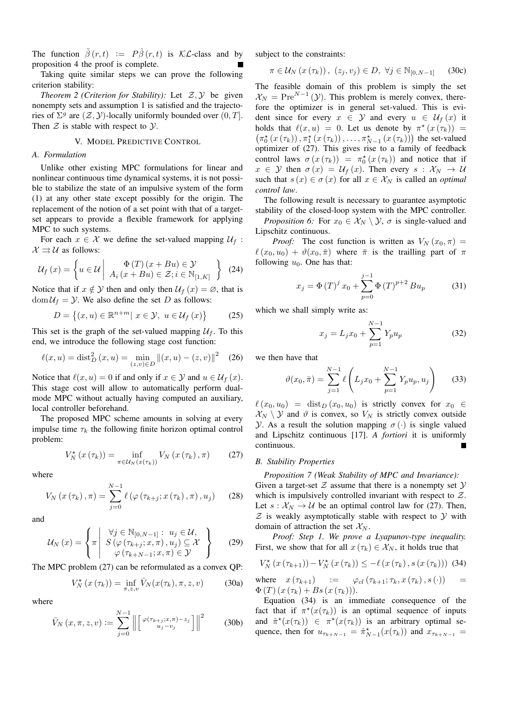The function  $\tilde{\beta}(r, t) := P \hat{\beta}(r, t)$  is KL-class and by proposition 4 the proof is complete.

Taking quite similar steps we can prove the following criterion stability:

*Theorem 2 (Criterion for Stability):* Let  $Z, Y$  be given nonempty sets and assumption 1 is satisfied and the trajectories of  $\Sigma^g$  are  $(\mathcal{Z}, \mathcal{Y})$ -locally uniformly bounded over  $(0, T]$ . Then  $Z$  is stable with respect to  $Y$ .

#### V. MODEL PREDICTIVE CONTROL

## *A. Formulation*

Unlike other existing MPC formulations for linear and nonlinear continuous time dynamical systems, it is not possible to stabilize the state of an impulsive system of the form (1) at any other state except possibly for the origin. The replacement of the notion of a set point with that of a targetset appears to provide a flexible framework for applying MPC to such systems.

For each  $x \in \mathcal{X}$  we define the set-valued mapping  $\mathcal{U}_f$ :  $\mathcal{X} \rightrightarrows \mathcal{U}$  as follows:

$$
\mathcal{U}_f(x) = \left\{ u \in \mathcal{U} \middle| \begin{array}{c} \Phi(T) \left( x + Bu \right) \in \mathcal{Y} \\ A_i \left( x + Bu \right) \in \mathcal{Z}; i \in \mathbb{N}_{[1,K]} \end{array} \right\} (24)
$$

Notice that if  $x \notin Y$  then and only then  $\mathcal{U}_f(x) = \emptyset$ , that is  $dom \mathcal{U}_f = \mathcal{Y}$ . We also define the set D as follows:

$$
D = \{(x, u) \in \mathbb{R}^{n+m} | x \in \mathcal{Y}, u \in \mathcal{U}_f(x)\}
$$
 (25)

This set is the graph of the set-valued mapping  $U_f$ . To this end, we introduce the following stage cost function:

$$
\ell(x, u) = \text{dist}_D^2(x, u) = \min_{(z, v) \in D} ||(x, u) - (z, v)||^2 \quad (26)
$$

Notice that  $\ell(x, u) = 0$  if and only if  $x \in \mathcal{Y}$  and  $u \in \mathcal{U}_f(x)$ . This stage cost will allow to automatically perform dualmode MPC without actually having computed an auxiliary, local controller beforehand.

The proposed MPC scheme amounts in solving at every impulse time  $\tau_k$  the following finite horizon optimal control problem:

$$
V_N^{\star}\left(x\left(\tau_k\right)\right) = \inf_{\pi \in \mathcal{U}_N\left(x\left(\tau_k\right)\right)} V_N\left(x\left(\tau_k\right), \pi\right) \tag{27}
$$

where

$$
V_N\left(x\left(\tau_k\right),\pi\right) = \sum_{j=0}^{N-1} \ell\left(\varphi\left(\tau_{k+j};x\left(\tau_k\right),\pi\right),u_j\right) \tag{28}
$$

and

$$
\mathcal{U}_N(x) = \left\{ \pi \middle| \begin{array}{l} \forall j \in \mathbb{N}_{[0,N-1]} : u_j \in \mathcal{U}, \\ S \left( \varphi \left( \tau_{k+j}; x, \pi \right), u_j \right) \subseteq \mathcal{X} \\ \varphi \left( \tau_{k+N-1}; x, \pi \right) \in \mathcal{Y} \end{array} \right\} \tag{29}
$$

The MPC problem (27) can be reformulated as a convex QP:

$$
V_N^{\star}(x(\tau_k)) = \inf_{\pi, z, v} \bar{V}_N(x(\tau_k), \pi, z, v)
$$
 (30a)

where

$$
\bar{V}_N(x,\pi,z,v) := \sum_{j=0}^{N-1} \left\| \begin{bmatrix} \varphi(\tau_{k+j};x,\pi) - z_j \\ u_j - v_j \end{bmatrix} \right\|^2 \tag{30b}
$$

subject to the constraints:

$$
\pi \in \mathcal{U}_N\left(x\left(\tau_k\right)\right), \ (z_j, v_j) \in D, \ \forall j \in \mathbb{N}_{[0, N-1]} \tag{30c}
$$

The feasible domain of this problem is simply the set  $\mathcal{X}_N = \text{Pre}^{N-1}(\mathcal{Y})$ . This problem is merely convex, therefore the optimizer is in general set-valued. This is evident since for every  $x \in Y$  and every  $u \in U_f(x)$  it holds that  $\ell(x, u) = 0$ . Let us denote by  $\pi^*(x(\tau_k)) =$  $(\pi_0^*(x(\tau_k)), \pi_1^*(x(\tau_k)), \ldots, \pi_{N-1}^*(x(\tau_k)))$  the set-valued optimizer of (27). This gives rise to a family of feedback control laws  $\sigma(x(\tau_k)) = \pi_0^*(x(\tau_k))$  and notice that if  $x \in \mathcal{Y}$  then  $\sigma(x) = \mathcal{U}_f(x)$ . Then every  $s : \mathcal{X}_N \to \mathcal{U}$ such that  $s(x) \in \sigma(x)$  for all  $x \in \mathcal{X}_N$  is called an *optimal control law*.

The following result is necessary to guarantee asymptotic stability of the closed-loop system with the MPC controller.

*Proposition 6:* For  $x_0 \in \mathcal{X}_N \setminus \mathcal{Y}$ ,  $\sigma$  is single-valued and Lipschitz continuous.

*Proof:* The cost function is written as  $V_N(x_0, \pi) =$  $\ell(x_0, u_0) + \vartheta(x_0, \bar{\pi})$  where  $\bar{\pi}$  is the trailling part of  $\pi$ following  $u_0$ . One has that:

$$
x_j = \Phi(T)^j x_0 + \sum_{p=0}^{j-1} \Phi(T)^{p+2} B u_p \tag{31}
$$

which we shall simply write as:

$$
x_j = L_j x_0 + \sum_{p=1}^{N-1} Y_p u_p \tag{32}
$$

we then have that

$$
\vartheta(x_0, \bar{\pi}) = \sum_{j=1}^{N-1} \ell \left( L_j x_0 + \sum_{p=1}^{N-1} Y_p u_p, u_j \right) \tag{33}
$$

 $\ell(x_0, u_0) = \text{dist}_D(x_0, u_0)$  is strictly convex for  $x_0 \in$  $\mathcal{X}_N \setminus \mathcal{Y}$  and  $\vartheta$  is convex, so  $V_N$  is strictly convex outside *Y*. As a result the solution mapping  $\sigma(\cdot)$  is single valued and Lipschitz continuous [17]. *A fortiori* it is uniformly continuous.

## *B. Stability Properties*

*Proposition 7 (Weak Stability of MPC and Invariance):* Given a target-set  $Z$  assume that there is a nonempty set  $Y$ which is impulsively controlled invariant with respect to  $Z$ . Let  $s: \mathcal{X}_N \to \mathcal{U}$  be an optimal control law for (27). Then,  $Z$  is weakly asymptotically stable with respect to  $Y$  with domain of attraction the set  $\mathcal{X}_N$ .

*Proof: Step 1. We prove a Lyapunov-type inequality.* First, we show that for all  $x(\tau_k) \in \mathcal{X}_N$ , it holds true that

$$
V_N^{\star}\left(x\left(\tau_{k+1}\right)\right) - V_N^{\star}\left(x\left(\tau_k\right)\right) \leq -\ell\left(x\left(\tau_k\right), s\left(x\left(\tau_k\right)\right)\right)
$$
 (34)

where 
$$
x(\tau_{k+1}) := \varphi_{cl}(\tau_{k+1}; \tau_k, x(\tau_k), s(\cdot)) = \Phi(T)(x(\tau_k) + Bs(x(\tau_k))).
$$

Equation (34) is an immediate consequence of the fact that if  $\pi^*(x(\tau_k))$  is an optimal sequence of inputs and  $\hat{\pi}^*(x(\tau_k)) \in \pi^*(x(\tau_k))$  is an arbitrary optimal sequence, then for  $u_{\tau_{k+N-1}} = \hat{\pi}_{N-1}^*(x(\tau_k))$  and  $x_{\tau_{k+N-1}} =$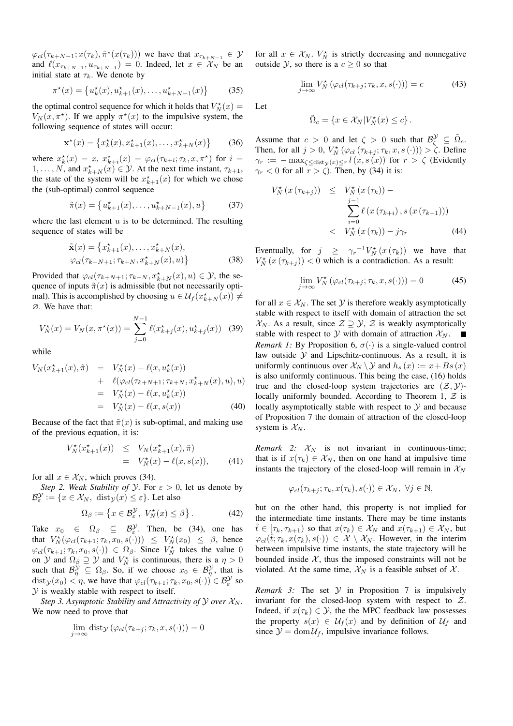$\varphi_{cl}(\tau_{k+N-1}; x(\tau_k), \hat{\pi}^*(x(\tau_k)))$  we have that  $x_{\tau_{k+N-1}} \in \mathcal{Y}$ and  $\ell(x_{\tau_{k+N-1}}, u_{\tau_{k+N-1}}) = 0$ . Indeed, let  $x \in \mathcal{X}_N$  be an initial state at  $\tau_k$ . We denote by

$$
\pi^{\star}(x) = \{u_k^{\star}(x), u_{k+1}^{\star}(x), \dots, u_{k+N-1}^{\star}(x)\}\
$$
 (35)

the optimal control sequence for which it holds that  $V_N^{\star}(x) =$  $V_N(x, \pi^*)$ . If we apply  $\pi^*(x)$  to the impulsive system, the following sequence of states will occur:

$$
\mathbf{x}^{\star}(x) = \{x_k^{\star}(x), x_{k+1}^{\star}(x), \dots, x_{k+N}^{\star}(x)\} \tag{36}
$$

where  $x_k^*(x) = x$ ,  $x_{k+i}^*(x) = \varphi_{cl}(\tau_{k+i}; \tau_k, x, \pi^*)$  for  $i =$  $1, \ldots, N$ , and  $x_{k+N}^*(x) \in \mathcal{Y}$ . At the next time instant,  $\tau_{k+1}$ , the state of the system will be  $x_{k+1}^{\star}(x)$  for which we chose the (sub-optimal) control sequence

$$
\tilde{\pi}(x) = \{u_{k+1}^*(x), \dots, u_{k+N-1}^*(x), u\}
$$
 (37)

where the last element  $u$  is to be determined. The resulting sequence of states will be

$$
\tilde{\mathbf{x}}(x) = \{x_{k+1}^*(x), \dots, x_{k+N}^*(x), \varphi_{cl}(\tau_{k+N+1}; \tau_{k+N}, x_{k+N}^*(x), u)\}\
$$
\n(38)

Provided that  $\varphi_{cl}(\tau_{k+N+1}; \tau_{k+N}, x_{k+N}^*(x), u) \in \mathcal{Y}$ , the sequence of inputs  $\tilde{\pi}(x)$  is admissible (but not necessarily optimal). This is accomplished by choosing  $u \in \mathcal{U}_f(x_{k+N}^*(x)) \neq$ ∅. We have that:

$$
V_N^{\star}(x) = V_N(x, \pi^{\star}(x)) = \sum_{j=0}^{N-1} \ell(x_{k+j}^{\star}(x), u_{k+j}^{\star}(x))
$$
 (39)

while

$$
V_N(x_{k+1}^*(x), \tilde{\pi}) = V_N^*(x) - \ell(x, u_k^*(x)) + \ell(\varphi_{cl}(\tau_{k+N+1}; \tau_{k+N}, x_{k+N}^*(x), u), u) = V_N^*(x) - \ell(x, u_k^*(x)) = V_N^*(x) - \ell(x, s(x))
$$
(40)

Because of the fact that  $\tilde{\pi}(x)$  is sub-optimal, and making use of the previous equation, it is:

$$
V_N^{\star}(x_{k+1}^{\star}(x)) \leq V_N(x_{k+1}^{\star}(x), \tilde{\pi}) = V_N^{\star}(x) - \ell(x, s(x)), \qquad (41)
$$

for all  $x \in \mathcal{X}_N$ , which proves (34).

*Step 2. Weak Stability of Y.* For  $\varepsilon > 0$ , let us denote by  $\mathcal{B}_{\varepsilon}^{\mathcal{Y}} := \{x \in \mathcal{X}_N, \text{ dist}_{\mathcal{Y}}(x) \leq \varepsilon\}.$  Let also

$$
\Omega_{\beta} := \left\{ x \in \mathcal{B}_{\varepsilon}^{\mathcal{Y}}, \ V_{N}^{\star}(x) \le \beta \right\}.
$$
 (42)

Take  $x_0 \in \Omega_\beta \subseteq \mathcal{B}^{\mathcal{Y}}_{\varepsilon}$ . Then, be (34), one has that  $V_N^{\star}(\varphi_{cl}(\tau_{k+1}; \tau_k, x_0, s(\cdot))) \leq V_N^{\star}(x_0) \leq \beta$ , hence  $\varphi_{cl}(\tau_{k+1}; \tau_k, x_0, s(\cdot)) \in \Omega_{\beta}$ . Since  $V_N^*$  takes the value 0 on  $\mathcal Y$  and  $\Omega_{\beta} \supseteq \mathcal Y$  and  $V_N^*$  is continuous, there is a  $\eta > 0$ such that  $\mathcal{B}_{\eta}^{\mathcal{Y}} \subseteq \Omega_{\beta}$ . So, if we choose  $x_0 \in \mathcal{B}_{\eta}^{\mathcal{Y}}$ , that is  $dist_y(x_0) < \eta$ , we have that  $\varphi_{cl}(\tau_{k+1}; \tau_k, x_0, s(\cdot)) \in \mathcal{B}^{\mathcal{Y}}_{\varepsilon}$  so  $Y$  is weakly stable with respect to itself.

*Step 3. Asymptotic Stability and Attractivity of Y over*  $\mathcal{X}_N$ *.* We now need to prove that

$$
\lim_{j \to \infty} \text{dist}_{\mathcal{Y}}\left(\varphi_{cl}(\tau_{k+j}; \tau_k, x, s(\cdot))\right) = 0
$$

for all  $x \in \mathcal{X}_N$ .  $V_N^*$  is strictly decreasing and nonnegative outside Y, so there is a  $c \geq 0$  so that

$$
\lim_{j \to \infty} V_N^{\star} \left( \varphi_{cl}(\tau_{k+j}; \tau_k, x, s(\cdot)) \right) = c \tag{43}
$$

Let

$$
\tilde{\Omega}_c = \{ x \in \mathcal{X}_N | V_N^{\star}(x) \le c \}.
$$

Assume that  $c > 0$  and let  $\zeta > 0$  such that  $\mathcal{B}^{\mathcal{Y}}_{\zeta} \subseteq \tilde{\Omega}_c$ . Then, for all  $j > 0$ ,  $V_N^* (\varphi_{cl} (\tau_{k+j}; \tau_k, x, s(\cdot))) > \zeta$ . Define  $\gamma_r := -\max_{\zeta \leq \text{dist}_{\mathcal{Y}}(x) \leq r} l(x, s(x))$  for  $r > \zeta$  (Evidently  $\gamma_r$  < 0 for all  $r > \zeta$ ). Then, by (34) it is:

$$
V_N^{\star}(x(\tau_{k+j})) \leq V_N^{\star}(x(\tau_k)) -
$$

$$
\sum_{i=0}^{j-1} \ell(x(\tau_{k+i}), s(x(\tau_{k+1})))
$$

$$
< V_N^{\star}(x(\tau_k)) - j\gamma_r
$$
(44)

Eventually, for  $j \ge \gamma_r^{-1} V_N^{\star} (x(\tau_k))$  we have that  $V_N^{\star}(x(\tau_{k+j})) < 0$  which is a contradiction. As a result:

$$
\lim_{j \to \infty} V_N^{\star} \left( \varphi_{cl}(\tau_{k+j}; \tau_k, x, s(\cdot)) \right) = 0 \tag{45}
$$

for all  $x \in \mathcal{X}_N$ . The set  $\mathcal Y$  is therefore weakly asymptotically stable with respect to itself with domain of attraction the set  $X_N$ . As a result, since  $\mathcal{Z} \supseteq \mathcal{Y}, \mathcal{Z}$  is weakly asymptotically stable with respect to  $Y$  with domain of attraction  $X_N$ .  $\overline{\phantom{a}}$ *Remark 1:* By Proposition 6,  $\sigma(\cdot)$  is a single-valued control law outside  $Y$  and Lipschitz-continuous. As a result, it is uniformly continuous over  $\mathcal{X}_N \backslash \mathcal{Y}$  and  $h_s(x) := x + Bs(x)$ is also uniformly continuous. This being the case, (16) holds true and the closed-loop system trajectories are  $(\mathcal{Z}, \mathcal{Y})$ locally uniformly bounded. According to Theorem 1,  $Z$  is locally asymptotically stable with respect to  $Y$  and because of Proposition 7 the domain of attraction of the closed-loop system is  $\mathcal{X}_N$ .

*Remark* 2:  $X_N$  is not invariant in continuous-time; that is if  $x(\tau_k) \in \mathcal{X}_N$ , then on one hand at impulsive time instants the trajectory of the closed-loop will remain in  $\mathcal{X}_N$ 

$$
\varphi_{cl}(\tau_{k+j}; \tau_k, x(\tau_k), s(\cdot)) \in \mathcal{X}_N, \ \forall j \in \mathbb{N},
$$

but on the other hand, this property is not implied for the intermediate time instants. There may be time instants  $\hat{t} \in [\tau_k, \tau_{k+1})$  so that  $x(\tau_k) \in \mathcal{X}_N$  and  $x(\tau_{k+1}) \in \mathcal{X}_N$ , but  $\varphi_{cl}(\hat{t}; \tau_k, x(\tau_k), s(\cdot)) \in \mathcal{X} \setminus \mathcal{X}_N$ . However, in the interim between impulsive time instants, the state trajectory will be bounded inside  $X$ , thus the imposed constraints will not be violated. At the same time,  $\mathcal{X}_N$  is a feasible subset of  $\mathcal{X}$ .

*Remark 3:* The set  $Y$  in Proposition 7 is impulsively invariant for the closed-loop system with respect to  $Z$ . Indeed, if  $x(\tau_k) \in \mathcal{Y}$ , the the MPC feedback law possesses the property  $s(x) \in \mathcal{U}_f(x)$  and by definition of  $\mathcal{U}_f$  and since  $\mathcal{Y} = \text{dom}\,\mathcal{U}_f$ , impulsive invariance follows.